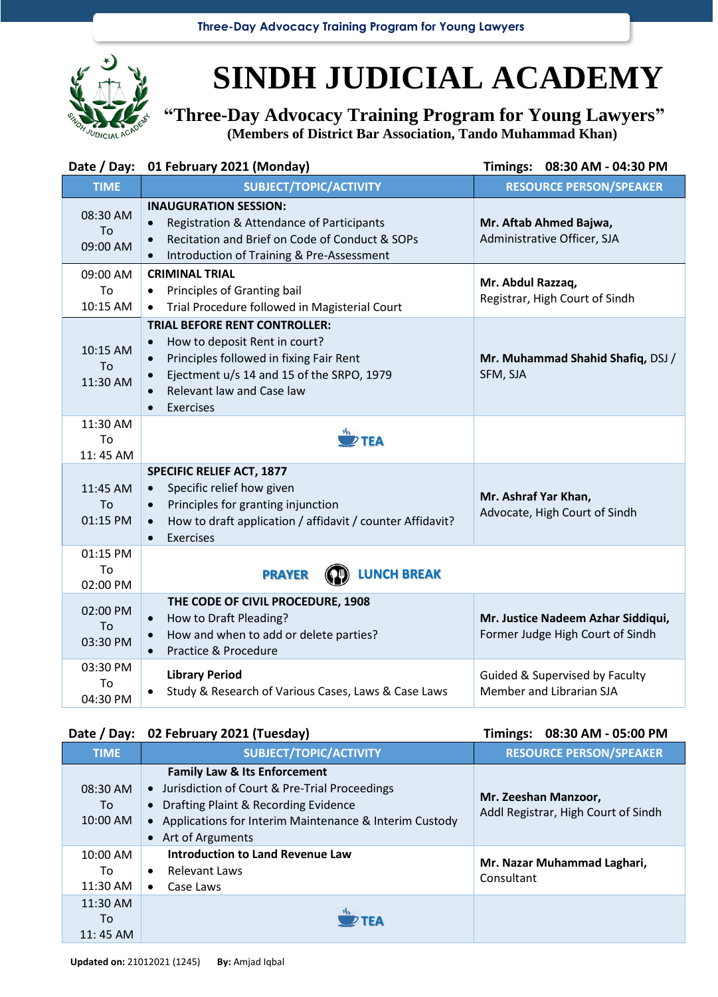**Three-Day Advocacy Training Program for Young Lawyers**



## **SINDH JUDICIAL ACADEMY**

**"Three-Day Advocacy Training Program for Young Lawyers" (Members of District Bar Association, Tando Muhammad Khan)**

|                            | Date / Day: 01 February 2021 (Monday)                                                                                                                                                                                                                                    | Timings: 08:30 AM - 04:30 PM                                           |
|----------------------------|--------------------------------------------------------------------------------------------------------------------------------------------------------------------------------------------------------------------------------------------------------------------------|------------------------------------------------------------------------|
| <b>TIME</b>                | <b>SUBJECT/TOPIC/ACTIVITY</b>                                                                                                                                                                                                                                            | <b>RESOURCE PERSON/SPEAKER</b>                                         |
| 08:30 AM<br>To<br>09:00 AM | <b>INAUGURATION SESSION:</b><br>Registration & Attendance of Participants<br>Recitation and Brief on Code of Conduct & SOPs<br>$\bullet$<br>Introduction of Training & Pre-Assessment<br>$\bullet$                                                                       | Mr. Aftab Ahmed Bajwa,<br>Administrative Officer, SJA                  |
| 09:00 AM<br>To<br>10:15 AM | <b>CRIMINAL TRIAL</b><br>Principles of Granting bail<br>$\bullet$<br>Trial Procedure followed in Magisterial Court<br>$\bullet$                                                                                                                                          | Mr. Abdul Razzaq,<br>Registrar, High Court of Sindh                    |
| 10:15 AM<br>To<br>11:30 AM | <b>TRIAL BEFORE RENT CONTROLLER:</b><br>How to deposit Rent in court?<br>$\bullet$<br>Principles followed in fixing Fair Rent<br>$\bullet$<br>Ejectment u/s 14 and 15 of the SRPO, 1979<br>$\bullet$<br>Relevant law and Case law<br>$\bullet$<br>Exercises<br>$\bullet$ | Mr. Muhammad Shahid Shafiq, DSJ /<br>SFM, SJA                          |
| 11:30 AM<br>To<br>11:45 AM | 7TEA                                                                                                                                                                                                                                                                     |                                                                        |
| 11:45 AM<br>To<br>01:15 PM | <b>SPECIFIC RELIEF ACT, 1877</b><br>Specific relief how given<br>$\bullet$<br>Principles for granting injunction<br>$\bullet$<br>How to draft application / affidavit / counter Affidavit?<br>$\bullet$<br>Exercises<br>$\bullet$                                        | Mr. Ashraf Yar Khan,<br>Advocate, High Court of Sindh                  |
| 01:15 PM<br>To<br>02:00 PM | <b>LUNCH BREAK</b><br><b>PRAYER</b>                                                                                                                                                                                                                                      |                                                                        |
| 02:00 PM<br>To<br>03:30 PM | THE CODE OF CIVIL PROCEDURE, 1908<br>How to Draft Pleading?<br>$\bullet$<br>How and when to add or delete parties?<br>$\bullet$<br>Practice & Procedure<br>$\bullet$                                                                                                     | Mr. Justice Nadeem Azhar Siddiqui,<br>Former Judge High Court of Sindh |
| 03:30 PM<br>To<br>04:30 PM | <b>Library Period</b><br>Study & Research of Various Cases, Laws & Case Laws<br>$\bullet$                                                                                                                                                                                | Guided & Supervised by Faculty<br>Member and Librarian SJA             |

## **Date / Day: 02 February 2021 (Tuesday) Timings: 08:30 AM - 05:00 PM**

| <b>TIME</b>                  | SUBJECT/TOPIC/ACTIVITY                                                                                                                                                                                                            | <b>RESOURCE PERSON/SPEAKER</b>                              |
|------------------------------|-----------------------------------------------------------------------------------------------------------------------------------------------------------------------------------------------------------------------------------|-------------------------------------------------------------|
| 08:30 AM<br>To<br>10:00 AM   | <b>Family Law &amp; Its Enforcement</b><br>• Jurisdiction of Court & Pre-Trial Proceedings<br>Drafting Plaint & Recording Evidence<br>$\bullet$<br>• Applications for Interim Maintenance & Interim Custody<br>• Art of Arguments | Mr. Zeeshan Manzoor,<br>Addl Registrar, High Court of Sindh |
| $10:00$ AM<br>To<br>11:30 AM | <b>Introduction to Land Revenue Law</b><br>Relevant Laws<br>$\bullet$<br>Case Laws<br>$\bullet$                                                                                                                                   | Mr. Nazar Muhammad Laghari,<br>Consultant                   |
| 11:30 AM<br>To<br>$11:45$ AM |                                                                                                                                                                                                                                   |                                                             |